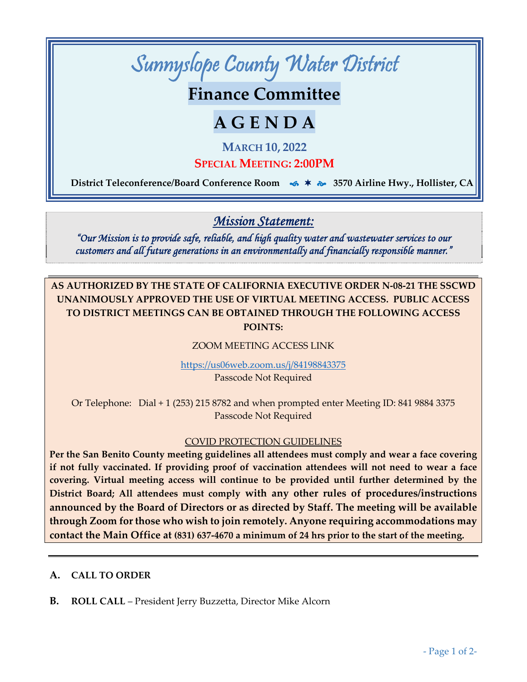

**Finance Committee**

# **A G E N D A**

**MARCH 10, 2022**

**SPECIAL MEETING: 2:00PM**

 **District Teleconference/Board Conference Room 3570 Airline Hwy., Hollister, CA**

*Mission Statement:* 

*"Our Mission is to provide safe, reliable, and high quality water and wastewater services to our customers and all future generations in an environmentally and financially responsible manner."* 

**AS AUTHORIZED BY THE STATE OF CALIFORNIA EXECUTIVE ORDER N‐08‐21 THE SSCWD UNANIMOUSLY APPROVED THE USE OF VIRTUAL MEETING ACCESS. PUBLIC ACCESS TO DISTRICT MEETINGS CAN BE OBTAINED THROUGH THE FOLLOWING ACCESS POINTS:**

#### ZOOM MEETING ACCESS LINK

https://us06web.zoom.us/j/84198843375

Passcode Not Required

Or Telephone: Dial + 1 (253) 215 8782 and when prompted enter Meeting ID: 841 9884 3375 Passcode Not Required

#### COVID PROTECTION GUIDELINES

**Per the San Benito County meeting guidelines all attendees must comply and wear a face covering if not fully vaccinated. If providing proof of vaccination attendees will not need to wear a face covering. Virtual meeting access will continue to be provided until further determined by the District Board; All attendees must comply with any other rules of procedures/instructions announced by the Board of Directors or as directed by Staff. The meeting will be available through Zoom for those who wish to join remotely. Anyone requiring accommodations may** contact the Main Office at (831) 637-4670 a minimum of 24 hrs prior to the start of the meeting.

#### **A. CALL TO ORDER**

**B. ROLL CALL** – President Jerry Buzzetta, Director Mike Alcorn